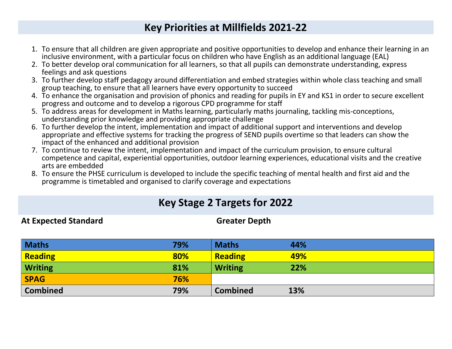## **Key Priorities at Millfields 2021-22**

- 1. To ensure that all children are given appropriate and positive opportunities to develop and enhance their learning in an inclusive environment, with a particular focus on children who have English as an additional language (EAL)
- 2. To better develop oral communication for all learners, so that all pupils can demonstrate understanding, express feelings and ask questions
- 3. To further develop staff pedagogy around differentiation and embed strategies within whole class teaching and small group teaching, to ensure that all learners have every opportunity to succeed
- 4. To enhance the organisation and provision of phonics and reading for pupils in EY and KS1 in order to secure excellent progress and outcome and to develop a rigorous CPD programme for staff
- 5. To address areas for development in Maths learning, particularly maths journaling, tackling mis-conceptions, understanding prior knowledge and providing appropriate challenge
- 6. To further develop the intent, implementation and impact of additional support and interventions and develop appropriate and effective systems for tracking the progress of SEND pupils overtime so that leaders can show the impact of the enhanced and additional provision
- 7. To continue to review the intent, implementation and impact of the curriculum provision, to ensure cultural competence and capital, experiential opportunities, outdoor learning experiences, educational visits and the creative arts are embedded
- 8. To ensure the PHSE curriculum is developed to include the specific teaching of mental health and first aid and the programme is timetabled and organised to clarify coverage and expectations

## **Key Stage 2 Targets for 2022**

At Expected Standard Greater Depth

| <b>Maths</b>    | 79% | <b>Maths</b>    | 44% |
|-----------------|-----|-----------------|-----|
| Reading         | 80% | <b>Reading</b>  | 49% |
| <b>Writing</b>  | 81% | <b>Writing</b>  | 22% |
| <b>SPAG</b>     | 76% |                 |     |
| <b>Combined</b> | 79% | <b>Combined</b> | 13% |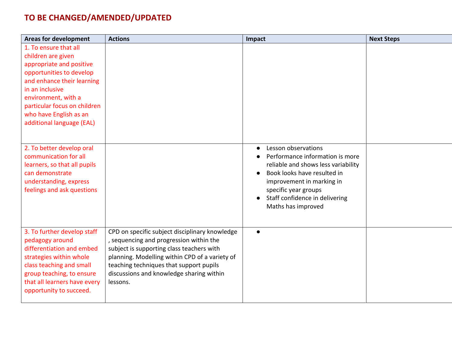## **TO BE CHANGED/AMENDED/UPDATED**

| <b>Areas for development</b>                                                                                                                                                                                                                                       | <b>Actions</b>                                                                                                                                                                                                                                                                              | Impact                                                                                                                                                                                                                                                 | <b>Next Steps</b> |
|--------------------------------------------------------------------------------------------------------------------------------------------------------------------------------------------------------------------------------------------------------------------|---------------------------------------------------------------------------------------------------------------------------------------------------------------------------------------------------------------------------------------------------------------------------------------------|--------------------------------------------------------------------------------------------------------------------------------------------------------------------------------------------------------------------------------------------------------|-------------------|
| 1. To ensure that all<br>children are given<br>appropriate and positive<br>opportunities to develop<br>and enhance their learning<br>in an inclusive<br>environment, with a<br>particular focus on children<br>who have English as an<br>additional language (EAL) |                                                                                                                                                                                                                                                                                             |                                                                                                                                                                                                                                                        |                   |
| 2. To better develop oral<br>communication for all<br>learners, so that all pupils<br>can demonstrate<br>understanding, express<br>feelings and ask questions                                                                                                      |                                                                                                                                                                                                                                                                                             | Lesson observations<br>$\bullet$<br>Performance information is more<br>reliable and shows less variability<br>Book looks have resulted in<br>improvement in marking in<br>specific year groups<br>Staff confidence in delivering<br>Maths has improved |                   |
| 3. To further develop staff<br>pedagogy around<br>differentiation and embed<br>strategies within whole<br>class teaching and small<br>group teaching, to ensure<br>that all learners have every<br>opportunity to succeed.                                         | CPD on specific subject disciplinary knowledge<br>, sequencing and progression within the<br>subject is supporting class teachers with<br>planning. Modelling within CPD of a variety of<br>teaching techniques that support pupils<br>discussions and knowledge sharing within<br>lessons. | $\bullet$                                                                                                                                                                                                                                              |                   |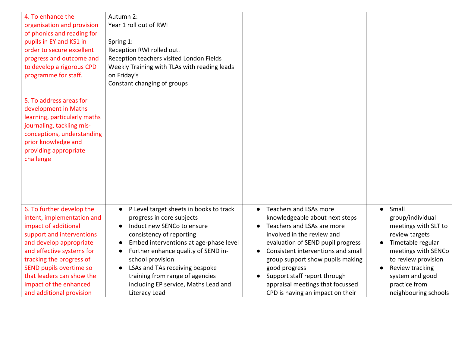| 4. To enhance the<br>organisation and provision<br>of phonics and reading for<br>pupils in EY and KS1 in<br>order to secure excellent<br>progress and outcome and<br>to develop a rigorous CPD<br>programme for staff.                                                                                         | Autumn 2:<br>Year 1 roll out of RWI<br>Spring 1:<br>Reception RWI rolled out.<br>Reception teachers visited London Fields<br>Weekly Training with TLAs with reading leads<br>on Friday's<br>Constant changing of groups                                                                                                                                                                                               |                                                                                                                                                                                                                                                                                                                                                                                        |                                                                                                                                                                                                                                    |
|----------------------------------------------------------------------------------------------------------------------------------------------------------------------------------------------------------------------------------------------------------------------------------------------------------------|-----------------------------------------------------------------------------------------------------------------------------------------------------------------------------------------------------------------------------------------------------------------------------------------------------------------------------------------------------------------------------------------------------------------------|----------------------------------------------------------------------------------------------------------------------------------------------------------------------------------------------------------------------------------------------------------------------------------------------------------------------------------------------------------------------------------------|------------------------------------------------------------------------------------------------------------------------------------------------------------------------------------------------------------------------------------|
| 5. To address areas for<br>development in Maths<br>learning, particularly maths<br>journaling, tackling mis-<br>conceptions, understanding<br>prior knowledge and<br>providing appropriate<br>challenge                                                                                                        |                                                                                                                                                                                                                                                                                                                                                                                                                       |                                                                                                                                                                                                                                                                                                                                                                                        |                                                                                                                                                                                                                                    |
| 6. To further develop the<br>intent, implementation and<br>impact of additional<br>support and interventions<br>and develop appropriate<br>and effective systems for<br>tracking the progress of<br>SEND pupils overtime so<br>that leaders can show the<br>impact of the enhanced<br>and additional provision | P Level target sheets in books to track<br>$\bullet$<br>progress in core subjects<br>Induct new SENCo to ensure<br>$\bullet$<br>consistency of reporting<br>Embed interventions at age-phase level<br>$\bullet$<br>Further enhance quality of SEND in-<br>school provision<br>LSAs and TAs receiving bespoke<br>$\bullet$<br>training from range of agencies<br>including EP service, Maths Lead and<br>Literacy Lead | Teachers and LSAs more<br>$\bullet$<br>knowledgeable about next steps<br>Teachers and LSAs are more<br>involved in the review and<br>evaluation of SEND pupil progress<br>Consistent interventions and small<br>group support show pupils making<br>good progress<br>Support staff report through<br>$\bullet$<br>appraisal meetings that focussed<br>CPD is having an impact on their | Small<br>$\bullet$<br>group/individual<br>meetings with SLT to<br>review targets<br>Timetable regular<br>meetings with SENCo<br>to review provision<br>Review tracking<br>system and good<br>practice from<br>neighbouring schools |